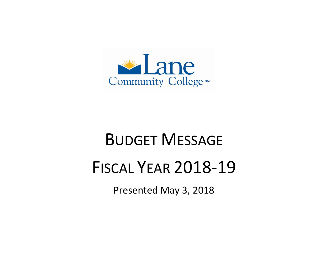

# BUDGET MESSAGE FISCAL YEAR 2018-19

Presented May 3, 2018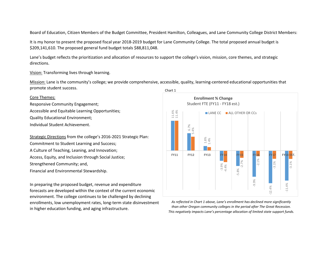Board of Education, Citizen Members of the Budget Committee, President Hamilton, Colleagues, and Lane Community College District Members:

It is my honor to present the proposed fiscal year 2018-2019 budget for Lane Community College. The total proposed annual budget is \$209,141,610. The proposed general fund budget totals \$88,811,048.

Lane's budget reflects the prioritization and allocation of resources to support the college's vision, mission, core themes, and strategic directions.

Vision: Transforming lives through learning.

Mission: Lane is the community's college; we provide comprehensive, accessible, quality, learning-centered educational opportunities that promote student success.

# Core Themes:

Responsive Community Engagement; Accessible and Equitable Learning Opportunities; Quality Educational Environment;

Individual Student Achievement.

Strategic Directions from the college's 2016-2021 Strategic Plan: Commitment to Student Learning and Success; A Culture of Teaching, Leaning, and Innovation; Access, Equity, and Inclusion through Social Justice; Strengthened Community; and, Financial and Environmental Stewardship.

In preparing the proposed budget, revenue and expenditure forecasts are developed within the context of the current economic environment. The college continues to be challenged by declining enrollments, low unemployment rates, long-term state disinvestment in higher education funding, and aging infrastructure.



*As reflected in Chart 1 above, Lane's enrollment has declined more significantly than other Oregon community colleges in the period after The Great Recession. This negatively impacts Lane's percentage allocation of limited state support funds.*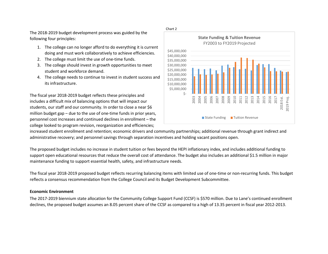The 2018-2019 budget development process was guided by the following four principles:

- 1. The college can no longer afford to do everything it is current doing and must work collaboratively to achieve efficiencies.
- 2. The college must limit the use of one-time funds.
- 3. The college should invest in growth opportunities to meet student and workforce demand.
- 4. The college needs to continue to invest in student success and its infrastructure.

The fiscal year 2018-2019 budget reflects these principles and includes a difficult mix of balancing options that will impact our students, our staff and our community. In order to close a near \$6 million budget gap – due to the use of one-time funds in prior years, personnel cost increases and continued declines in enrollment – the college looked to program revision, reorganization and efficiencies;



increased student enrollment and retention; economic drivers and community partnerships; additional revenue through grant indirect and administrative recovery; and personnel savings through separation incentives and holding vacant positions open.

The proposed budget includes no increase in student tuition or fees beyond the HEPI inflationary index, and includes additional funding to support open educational resources that reduce the overall cost of attendance. The budget also includes an additional \$1.5 million in major maintenance funding to support essential health, safety, and infrastructure needs.

The fiscal year 2018-2019 proposed budget reflects recurring balancing items with limited use of one-time or non-recurring funds. This budget reflects a consensus recommendation from the College Council and its Budget Development Subcommittee.

## **Economic Environment**

The 2017-2019 biennium state allocation for the Community College Support Fund (CCSF) is \$570 million. Due to Lane's continued enrollment declines, the proposed budget assumes an 8.05 percent share of the CCSF as compared to a high of 13.35 percent in fiscal year 2012-2013.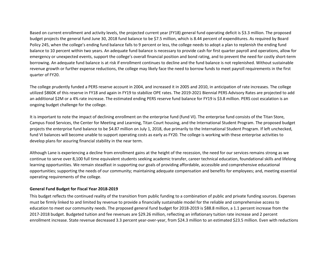Based on current enrollment and activity levels, the projected current year (FY18) general fund operating deficit is \$3.3 million. The proposed budget projects the general fund June 30, 2018 fund balance to be \$7.5 million, which is 8.44 percent of expenditures. As required by Board Policy 245, when the college's ending fund balance falls to 9 percent or less, the college needs to adopt a plan to replenish the ending fund balance to 10 percent within two years. An adequate fund balance is necessary to provide cash for first quarter payroll and operations, allow for emergency or unexpected events, support the college's overall financial position and bond rating, and to prevent the need for costly short-term borrowing. An adequate fund balance is at risk if enrollment continues to decline and the fund balance is not replenished. Without sustainable revenue growth or further expense reductions, the college may likely face the need to borrow funds to meet payroll requirements in the first quarter of FY20.

The college prudently funded a PERS reserve account in 2004, and increased it in 2005 and 2010, in anticipation of rate increases. The college utilized \$860K of this reserve in FY18 and again in FY19 to stabilize OPE rates. The 2019-2021 Biennial PERS Advisory Rates are projected to add an additional \$2M or a 4% rate increase. The estimated ending PERS reserve fund balance for FY19 is \$3.8 million. PERS cost escalation is an ongoing budget challenge for the college.

It is important to note the impact of declining enrollment on the enterprise fund (fund VI). The enterprise fund consists of the Titan Store, Campus Food Services, the Center for Meeting and Learning, Titan Court housing, and the International Student Program. The proposed budget projects the enterprise fund balance to be \$4.87 million on July 1, 2018, due primarily to the International Student Program. If left unchecked, fund VI balances will become unable to support operating costs as early as FY20. The college is working with these enterprise activities to develop plans for assuring financial stability in the near term.

Although Lane is experiencing a decline from enrollment gains at the height of the recession, the need for our services remains strong as we continue to serve over 8,100 full time equivalent students seeking academic transfer, career technical education, foundational skills and lifelong learning opportunities. We remain steadfast in supporting our goals of providing affordable, accessible and comprehensive educational opportunities; supporting the needs of our community; maintaining adequate compensation and benefits for employees; and, meeting essential operating requirements of the college.

## **General Fund Budget for Fiscal Year 2018-2019**

This budget reflects the continued reality of the transition from public funding to a combination of public and private funding sources. Expenses must be firmly linked to and limited by revenue to provide a financially sustainable model for the reliable and comprehensive access to education to meet our community needs. The proposed general fund budget for 2018-2019 is \$88.8 million, a 1.1 percent increase from the 2017-2018 budget. Budgeted tuition and fee revenues are \$29.26 million, reflecting an inflationary tuition rate increase and 2 percent enrollment increase. State revenue decreased 3.3 percent year-over-year, from \$24.3 million to an estimated \$23.5 million. Even with reductions